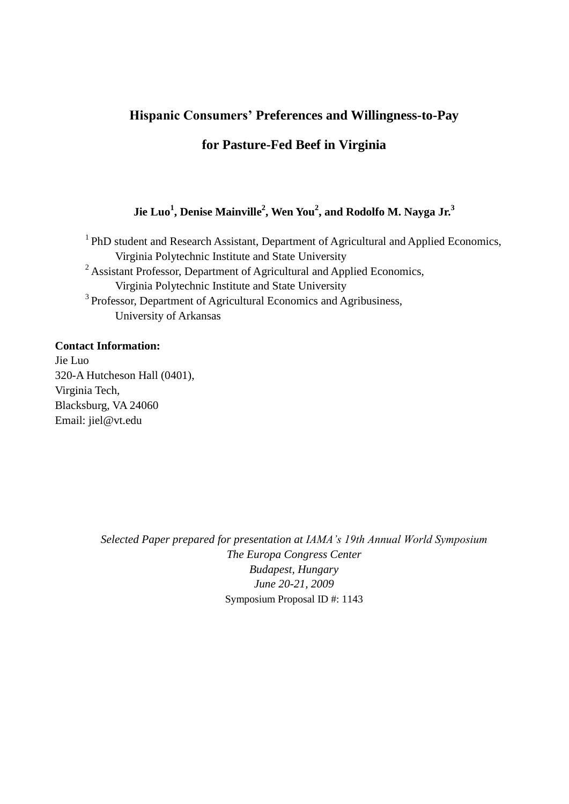# **Hispanic Consumers' Preferences and Willingness-to-Pay**

## **for Pasture-Fed Beef in Virginia**

## **Jie Luo<sup>1</sup> , Denise Mainville<sup>2</sup> , Wen You<sup>2</sup> , and Rodolfo M. Nayga Jr.<sup>3</sup>**

<sup>1</sup> PhD student and Research Assistant, Department of Agricultural and Applied Economics, Virginia Polytechnic Institute and State University <sup>2</sup> Assistant Professor, Department of Agricultural and Applied Economics, Virginia Polytechnic Institute and State University <sup>3</sup> Professor, Department of Agricultural Economics and Agribusiness, University of Arkansas

#### **Contact Information:**

Jie Luo 320-A Hutcheson Hall (0401), Virginia Tech, Blacksburg, VA 24060 Email: jiel@vt.edu

> *Selected Paper prepared for presentation at IAMA's 19th Annual World Symposium The Europa Congress Center Budapest, Hungary June 20-21, 2009* Symposium Proposal ID #: 1143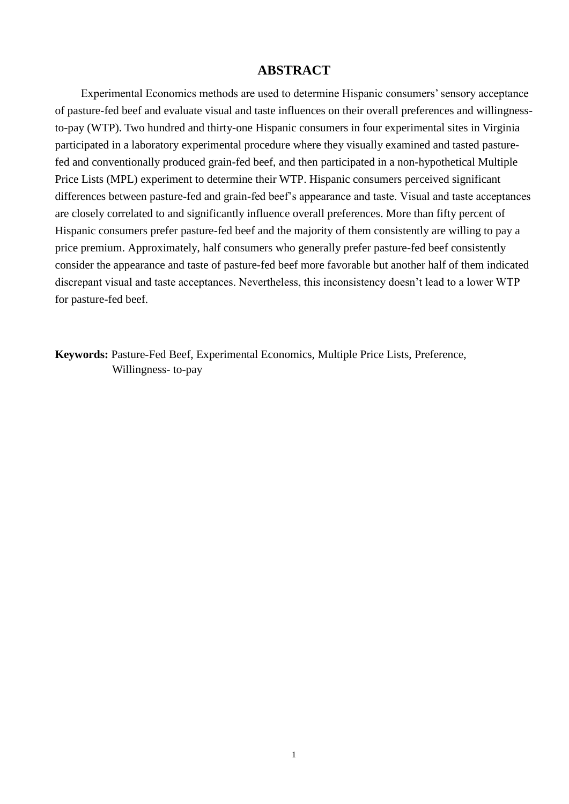## **ABSTRACT**

 Experimental Economics methods are used to determine Hispanic consumers' sensory acceptance of pasture-fed beef and evaluate visual and taste influences on their overall preferences and willingnessto-pay (WTP). Two hundred and thirty-one Hispanic consumers in four experimental sites in Virginia participated in a laboratory experimental procedure where they visually examined and tasted pasturefed and conventionally produced grain-fed beef, and then participated in a non-hypothetical Multiple Price Lists (MPL) experiment to determine their WTP. Hispanic consumers perceived significant differences between pasture-fed and grain-fed beef's appearance and taste. Visual and taste acceptances are closely correlated to and significantly influence overall preferences. More than fifty percent of Hispanic consumers prefer pasture-fed beef and the majority of them consistently are willing to pay a price premium. Approximately, half consumers who generally prefer pasture-fed beef consistently consider the appearance and taste of pasture-fed beef more favorable but another half of them indicated discrepant visual and taste acceptances. Nevertheless, this inconsistency doesn't lead to a lower WTP for pasture-fed beef.

**Keywords:** Pasture-Fed Beef, Experimental Economics, Multiple Price Lists, Preference, Willingness- to-pay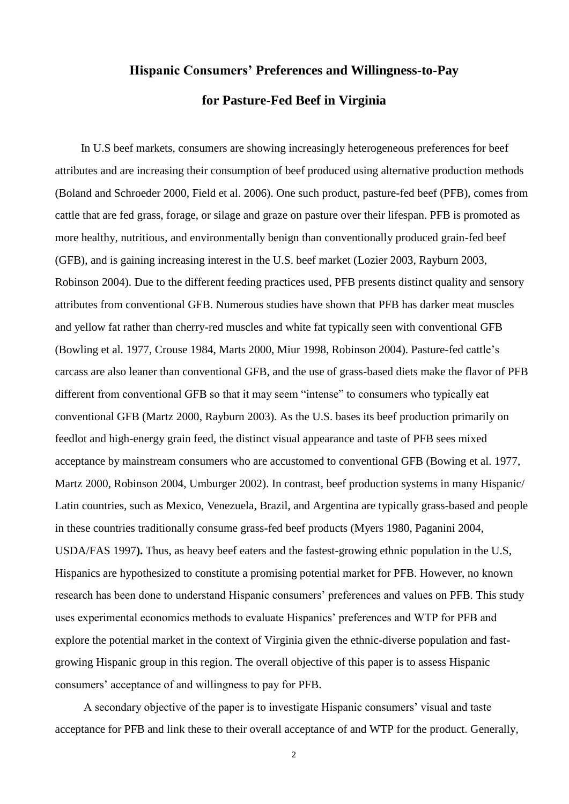# **Hispanic Consumers' Preferences and Willingness-to-Pay for Pasture-Fed Beef in Virginia**

 In U.S beef markets, consumers are showing increasingly heterogeneous preferences for beef attributes and are increasing their consumption of beef produced using alternative production methods (Boland and Schroeder 2000, Field et al. 2006). One such product, pasture-fed beef (PFB), comes from cattle that are fed grass, forage, or silage and graze on pasture over their lifespan. PFB is promoted as more healthy, nutritious, and environmentally benign than conventionally produced grain-fed beef (GFB), and is gaining increasing interest in the U.S. beef market (Lozier 2003, Rayburn 2003, Robinson 2004). Due to the different feeding practices used, PFB presents distinct quality and sensory attributes from conventional GFB. Numerous studies have shown that PFB has darker meat muscles and yellow fat rather than cherry-red muscles and white fat typically seen with conventional GFB (Bowling et al. 1977, Crouse 1984, Marts 2000, Miur 1998, Robinson 2004). Pasture-fed cattle's carcass are also leaner than conventional GFB, and the use of grass-based diets make the flavor of PFB different from conventional GFB so that it may seem "intense" to consumers who typically eat conventional GFB (Martz 2000, Rayburn 2003). As the U.S. bases its beef production primarily on feedlot and high-energy grain feed, the distinct visual appearance and taste of PFB sees mixed acceptance by mainstream consumers who are accustomed to conventional GFB (Bowing et al. 1977, Martz 2000, Robinson 2004, Umburger 2002). In contrast, beef production systems in many Hispanic/ Latin countries, such as Mexico, Venezuela, Brazil, and Argentina are typically grass-based and people in these countries traditionally consume grass-fed beef products (Myers 1980, Paganini 2004, USDA/FAS 1997**).** Thus, as heavy beef eaters and the fastest-growing ethnic population in the U.S, Hispanics are hypothesized to constitute a promising potential market for PFB. However, no known research has been done to understand Hispanic consumers' preferences and values on PFB. This study uses experimental economics methods to evaluate Hispanics' preferences and WTP for PFB and explore the potential market in the context of Virginia given the ethnic-diverse population and fastgrowing Hispanic group in this region. The overall objective of this paper is to assess Hispanic consumers' acceptance of and willingness to pay for PFB.

 A secondary objective of the paper is to investigate Hispanic consumers' visual and taste acceptance for PFB and link these to their overall acceptance of and WTP for the product. Generally,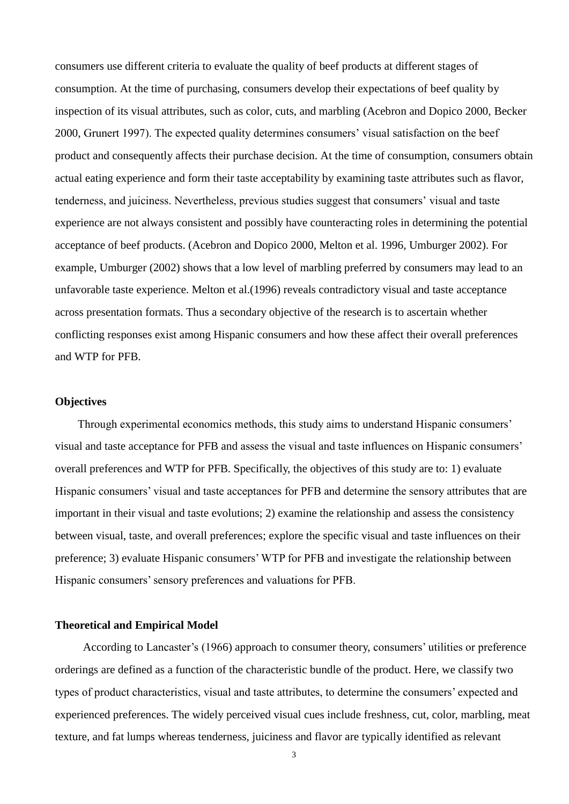consumers use different criteria to evaluate the quality of beef products at different stages of consumption. At the time of purchasing, consumers develop their expectations of beef quality by inspection of its visual attributes, such as color, cuts, and marbling (Acebron and Dopico 2000, Becker 2000, Grunert 1997). The expected quality determines consumers' visual satisfaction on the beef product and consequently affects their purchase decision. At the time of consumption, consumers obtain actual eating experience and form their taste acceptability by examining taste attributes such as flavor, tenderness, and juiciness. Nevertheless, previous studies suggest that consumers' visual and taste experience are not always consistent and possibly have counteracting roles in determining the potential acceptance of beef products. (Acebron and Dopico 2000, Melton et al. 1996, Umburger 2002). For example, Umburger (2002) shows that a low level of marbling preferred by consumers may lead to an unfavorable taste experience. Melton et al.(1996) reveals contradictory visual and taste acceptance across presentation formats. Thus a secondary objective of the research is to ascertain whether conflicting responses exist among Hispanic consumers and how these affect their overall preferences and WTP for PFB.

#### **Objectives**

 Through experimental economics methods, this study aims to understand Hispanic consumers' visual and taste acceptance for PFB and assess the visual and taste influences on Hispanic consumers' overall preferences and WTP for PFB. Specifically, the objectives of this study are to: 1) evaluate Hispanic consumers' visual and taste acceptances for PFB and determine the sensory attributes that are important in their visual and taste evolutions; 2) examine the relationship and assess the consistency between visual, taste, and overall preferences; explore the specific visual and taste influences on their preference; 3) evaluate Hispanic consumers' WTP for PFB and investigate the relationship between Hispanic consumers' sensory preferences and valuations for PFB.

#### **Theoretical and Empirical Model**

 According to Lancaster's (1966) approach to consumer theory, consumers' utilities or preference orderings are defined as a function of the characteristic bundle of the product. Here, we classify two types of product characteristics, visual and taste attributes, to determine the consumers' expected and experienced preferences. The widely perceived visual cues include freshness, cut, color, marbling, meat texture, and fat lumps whereas tenderness, juiciness and flavor are typically identified as relevant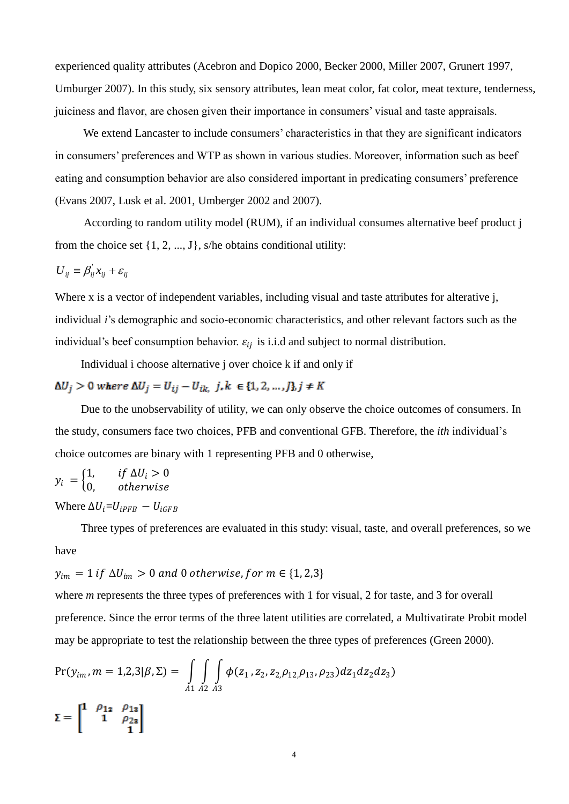experienced quality attributes (Acebron and Dopico 2000, Becker 2000, Miller 2007, Grunert 1997, Umburger 2007). In this study, six sensory attributes, lean meat color, fat color, meat texture, tenderness, juiciness and flavor, are chosen given their importance in consumers' visual and taste appraisals.

 We extend Lancaster to include consumers' characteristics in that they are significant indicators in consumers' preferences and WTP as shown in various studies. Moreover, information such as beef eating and consumption behavior are also considered important in predicating consumers' preference (Evans 2007, Lusk et al. 2001, Umberger 2002 and 2007).

 According to random utility model (RUM), if an individual consumes alternative beef product j from the choice set  $\{1, 2, ..., J\}$ , s/he obtains conditional utility:

$$
U_{ij} \equiv \beta_{ij}^{\dagger} x_{ij} + \varepsilon_{ij}
$$

Where x is a vector of independent variables, including visual and taste attributes for alterative j, individual *i*'s demographic and socio-economic characteristics, and other relevant factors such as the individual's beef consumption behavior.  $\varepsilon_{ij}$  is i.i.d and subject to normal distribution.

Individual i choose alternative j over choice k if and only if

 $\Delta U_j > 0 \ where \ \Delta U_j = U_{ij} - U_{ik,} \ j,k \ \in \{1,2,\ldots,J\}, j \neq K$ 

 Due to the unobservability of utility, we can only observe the choice outcomes of consumers. In the study, consumers face two choices, PFB and conventional GFB. Therefore, the *ith* individual's choice outcomes are binary with 1 representing PFB and 0 otherwise,

$$
y_i = \begin{cases} 1, & if \Delta U_i > 0 \\ 0, & otherwise \end{cases}
$$

Where  $\Delta U_i = U_{iPFR} - U_{iGFR}$ 

 Three types of preferences are evaluated in this study: visual, taste, and overall preferences, so we have

 $y_{im} = 1$  if  $\Delta U_{im} > 0$  and 0 otherwise, for  $m \in \{1, 2, 3\}$ 

where *m* represents the three types of preferences with 1 for visual, 2 for taste, and 3 for overall preference. Since the error terms of the three latent utilities are correlated, a Multivatirate Probit model may be appropriate to test the relationship between the three types of preferences (Green 2000).

$$
Pr(y_{im}, m = 1,2,3 | \beta, \Sigma) = \int_{A1} \int_{A2} \int_{A3} \phi(z_1, z_2, z_2, \rho_{12,} \rho_{13}, \rho_{23}) dz_1 dz_2 dz_3)
$$

$$
\Sigma = \begin{bmatrix} 1 & \rho_{12} & \rho_{13} \\ & 1 & \rho_{23} \\ & & 1 \end{bmatrix}
$$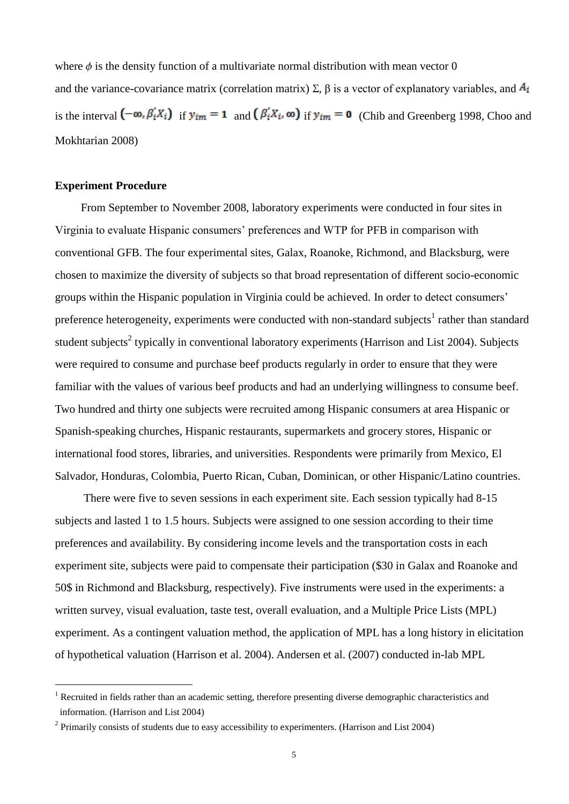where  $\phi$  is the density function of a multivariate normal distribution with mean vector 0 and the variance-covariance matrix (correlation matrix)  $\Sigma$ ,  $\beta$  is a vector of explanatory variables, and  $A_i$ is the interval  $(-\infty, \beta'_iX_i)$  if  $y_{im} = 1$  and  $(\beta'_iX_i, \infty)$  if  $y_{im} = 0$  (Chib and Greenberg 1998, Choo and Mokhtarian 2008)

#### **Experiment Procedure**

 $\overline{a}$ 

 From September to November 2008, laboratory experiments were conducted in four sites in Virginia to evaluate Hispanic consumers' preferences and WTP for PFB in comparison with conventional GFB. The four experimental sites, Galax, Roanoke, Richmond, and Blacksburg, were chosen to maximize the diversity of subjects so that broad representation of different socio-economic groups within the Hispanic population in Virginia could be achieved. In order to detect consumers' preference heterogeneity, experiments were conducted with non-standard subjects<sup>1</sup> rather than standard student subjects<sup>2</sup> typically in conventional laboratory experiments (Harrison and List 2004). Subjects were required to consume and purchase beef products regularly in order to ensure that they were familiar with the values of various beef products and had an underlying willingness to consume beef. Two hundred and thirty one subjects were recruited among Hispanic consumers at area Hispanic or Spanish-speaking churches, Hispanic restaurants, supermarkets and grocery stores, Hispanic or international food stores, libraries, and universities. Respondents were primarily from Mexico, El Salvador, Honduras, Colombia, Puerto Rican, Cuban, Dominican, or other Hispanic/Latino countries.

There were five to seven sessions in each experiment site. Each session typically had 8-15 subjects and lasted 1 to 1.5 hours. Subjects were assigned to one session according to their time preferences and availability. By considering income levels and the transportation costs in each experiment site, subjects were paid to compensate their participation (\$30 in Galax and Roanoke and 50\$ in Richmond and Blacksburg, respectively). Five instruments were used in the experiments: a written survey, visual evaluation, taste test, overall evaluation, and a Multiple Price Lists (MPL) experiment. As a contingent valuation method, the application of MPL has a long history in elicitation of hypothetical valuation (Harrison et al. 2004). Andersen et al. (2007) conducted in-lab MPL

<sup>&</sup>lt;sup>1</sup> Recruited in fields rather than an academic setting, therefore presenting diverse demographic characteristics and information. (Harrison and List 2004)

<sup>&</sup>lt;sup>2</sup> Primarily consists of students due to easy accessibility to experimenters. (Harrison and List 2004)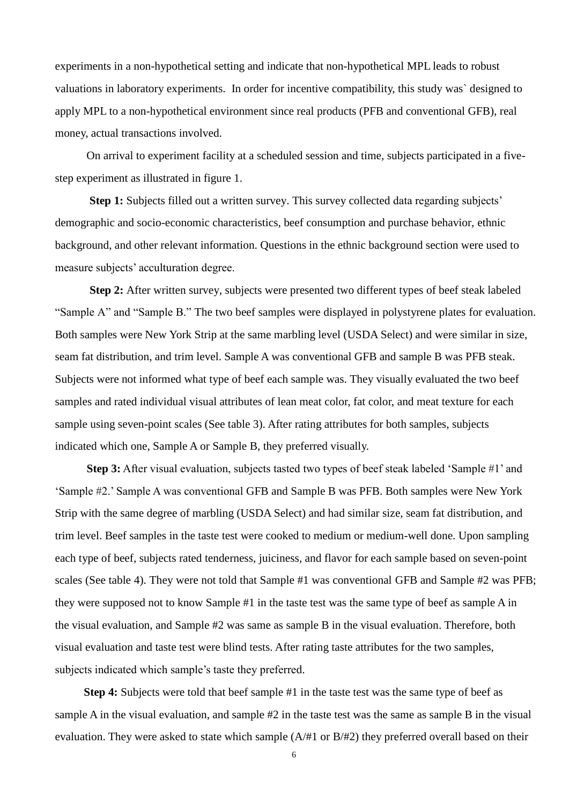experiments in a non-hypothetical setting and indicate that non-hypothetical MPL leads to robust valuations in laboratory experiments. In order for incentive compatibility, this study was` designed to apply MPL to a non-hypothetical environment since real products (PFB and conventional GFB), real money, actual transactions involved.

 On arrival to experiment facility at a scheduled session and time, subjects participated in a fivestep experiment as illustrated in figure 1.

**Step 1:** Subjects filled out a written survey. This survey collected data regarding subjects' demographic and socio-economic characteristics, beef consumption and purchase behavior, ethnic background, and other relevant information. Questions in the ethnic background section were used to measure subjects' acculturation degree.

 **Step 2:** After written survey, subjects were presented two different types of beef steak labeled "Sample A" and "Sample B." The two beef samples were displayed in polystyrene plates for evaluation. Both samples were New York Strip at the same marbling level (USDA Select) and were similar in size, seam fat distribution, and trim level. Sample A was conventional GFB and sample B was PFB steak. Subjects were not informed what type of beef each sample was. They visually evaluated the two beef samples and rated individual visual attributes of lean meat color, fat color, and meat texture for each sample using seven-point scales (See table 3). After rating attributes for both samples, subjects indicated which one, Sample A or Sample B, they preferred visually.

**Step 3:** After visual evaluation, subjects tasted two types of beef steak labeled 'Sample #1' and ‗Sample #2.' Sample A was conventional GFB and Sample B was PFB. Both samples were New York Strip with the same degree of marbling (USDA Select) and had similar size, seam fat distribution, and trim level. Beef samples in the taste test were cooked to medium or medium-well done. Upon sampling each type of beef, subjects rated tenderness, juiciness, and flavor for each sample based on seven-point scales (See table 4). They were not told that Sample #1 was conventional GFB and Sample #2 was PFB; they were supposed not to know Sample #1 in the taste test was the same type of beef as sample A in the visual evaluation, and Sample #2 was same as sample B in the visual evaluation. Therefore, both visual evaluation and taste test were blind tests. After rating taste attributes for the two samples, subjects indicated which sample's taste they preferred.

 **Step 4:** Subjects were told that beef sample #1 in the taste test was the same type of beef as sample A in the visual evaluation, and sample #2 in the taste test was the same as sample B in the visual evaluation. They were asked to state which sample (A/#1 or B/#2) they preferred overall based on their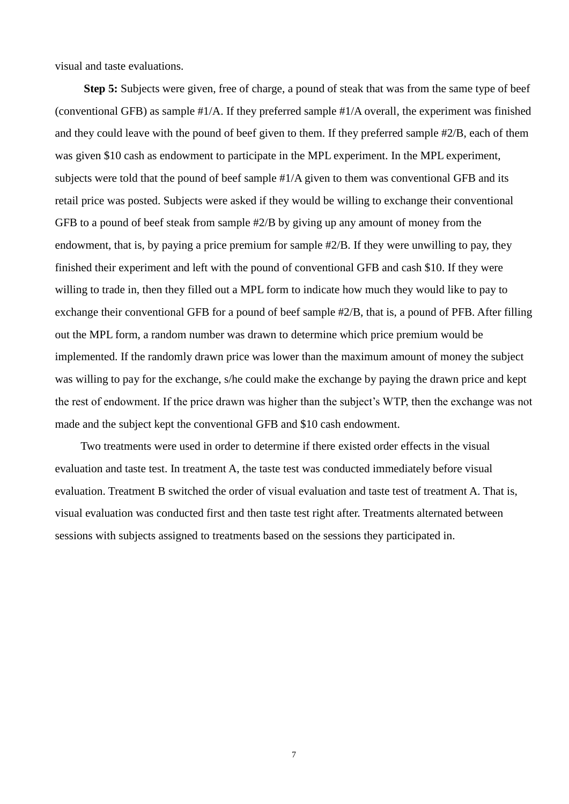visual and taste evaluations.

 **Step 5:** Subjects were given, free of charge, a pound of steak that was from the same type of beef (conventional GFB) as sample #1/A. If they preferred sample #1/A overall, the experiment was finished and they could leave with the pound of beef given to them. If they preferred sample #2/B, each of them was given \$10 cash as endowment to participate in the MPL experiment. In the MPL experiment, subjects were told that the pound of beef sample #1/A given to them was conventional GFB and its retail price was posted. Subjects were asked if they would be willing to exchange their conventional GFB to a pound of beef steak from sample #2/B by giving up any amount of money from the endowment, that is, by paying a price premium for sample #2/B. If they were unwilling to pay, they finished their experiment and left with the pound of conventional GFB and cash \$10. If they were willing to trade in, then they filled out a MPL form to indicate how much they would like to pay to exchange their conventional GFB for a pound of beef sample #2/B, that is, a pound of PFB. After filling out the MPL form, a random number was drawn to determine which price premium would be implemented. If the randomly drawn price was lower than the maximum amount of money the subject was willing to pay for the exchange, s/he could make the exchange by paying the drawn price and kept the rest of endowment. If the price drawn was higher than the subject's WTP, then the exchange was not made and the subject kept the conventional GFB and \$10 cash endowment.

 Two treatments were used in order to determine if there existed order effects in the visual evaluation and taste test. In treatment A, the taste test was conducted immediately before visual evaluation. Treatment B switched the order of visual evaluation and taste test of treatment A. That is, visual evaluation was conducted first and then taste test right after. Treatments alternated between sessions with subjects assigned to treatments based on the sessions they participated in.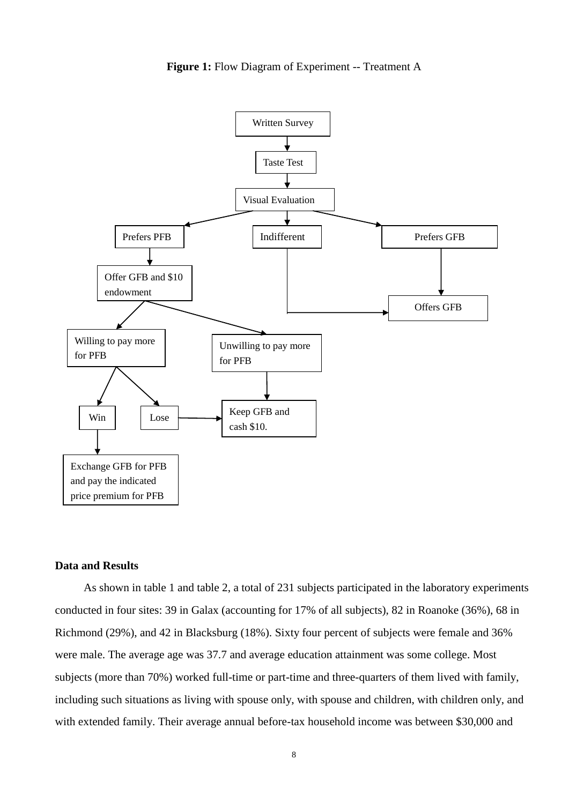



#### **Data and Results**

 As shown in table 1 and table 2, a total of 231 subjects participated in the laboratory experiments conducted in four sites: 39 in Galax (accounting for 17% of all subjects), 82 in Roanoke (36%), 68 in Richmond (29%), and 42 in Blacksburg (18%). Sixty four percent of subjects were female and 36% were male. The average age was 37.7 and average education attainment was some college. Most subjects (more than 70%) worked full-time or part-time and three-quarters of them lived with family, including such situations as living with spouse only, with spouse and children, with children only, and with extended family. Their average annual before-tax household income was between \$30,000 and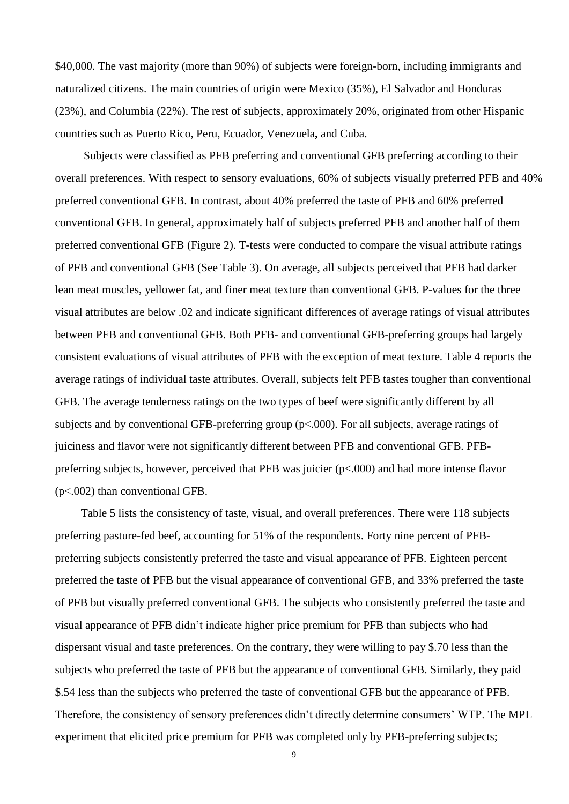\$40,000. The vast majority (more than 90%) of subjects were foreign-born, including immigrants and naturalized citizens. The main countries of origin were Mexico (35%), El Salvador and Honduras (23%), and Columbia (22%). The rest of subjects, approximately 20%, originated from other Hispanic countries such as Puerto Rico, Peru, Ecuador, Venezuela**,** and Cuba.

 Subjects were classified as PFB preferring and conventional GFB preferring according to their overall preferences. With respect to sensory evaluations, 60% of subjects visually preferred PFB and 40% preferred conventional GFB. In contrast, about 40% preferred the taste of PFB and 60% preferred conventional GFB. In general, approximately half of subjects preferred PFB and another half of them preferred conventional GFB (Figure 2). T-tests were conducted to compare the visual attribute ratings of PFB and conventional GFB (See Table 3). On average, all subjects perceived that PFB had darker lean meat muscles, yellower fat, and finer meat texture than conventional GFB. P-values for the three visual attributes are below .02 and indicate significant differences of average ratings of visual attributes between PFB and conventional GFB. Both PFB- and conventional GFB-preferring groups had largely consistent evaluations of visual attributes of PFB with the exception of meat texture. Table 4 reports the average ratings of individual taste attributes. Overall, subjects felt PFB tastes tougher than conventional GFB. The average tenderness ratings on the two types of beef were significantly different by all subjects and by conventional GFB-preferring group (p<.000). For all subjects, average ratings of juiciness and flavor were not significantly different between PFB and conventional GFB. PFBpreferring subjects, however, perceived that PFB was juicier (p<.000) and had more intense flavor (p<.002) than conventional GFB.

 Table 5 lists the consistency of taste, visual, and overall preferences. There were 118 subjects preferring pasture-fed beef, accounting for 51% of the respondents. Forty nine percent of PFBpreferring subjects consistently preferred the taste and visual appearance of PFB. Eighteen percent preferred the taste of PFB but the visual appearance of conventional GFB, and 33% preferred the taste of PFB but visually preferred conventional GFB. The subjects who consistently preferred the taste and visual appearance of PFB didn't indicate higher price premium for PFB than subjects who had dispersant visual and taste preferences. On the contrary, they were willing to pay \$.70 less than the subjects who preferred the taste of PFB but the appearance of conventional GFB. Similarly, they paid \$.54 less than the subjects who preferred the taste of conventional GFB but the appearance of PFB. Therefore, the consistency of sensory preferences didn't directly determine consumers' WTP. The MPL experiment that elicited price premium for PFB was completed only by PFB-preferring subjects;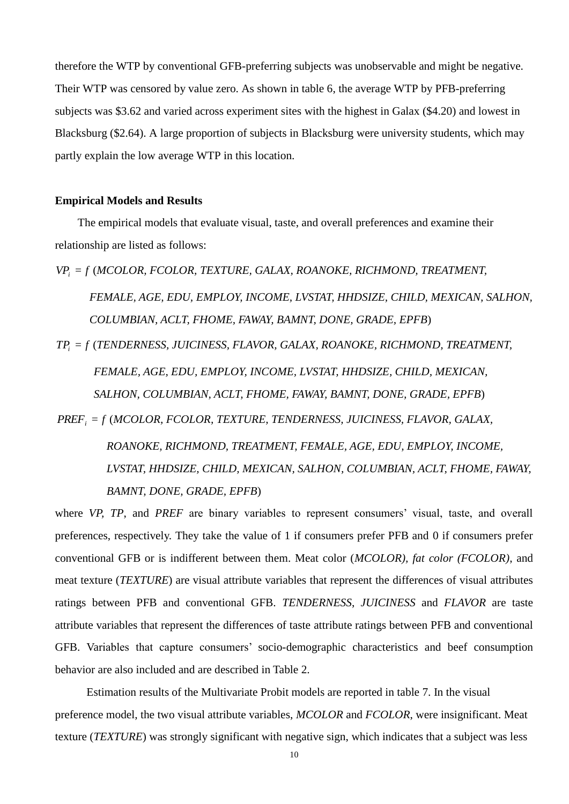therefore the WTP by conventional GFB-preferring subjects was unobservable and might be negative. Their WTP was censored by value zero. As shown in table 6, the average WTP by PFB-preferring subjects was \$3.62 and varied across experiment sites with the highest in Galax (\$4.20) and lowest in Blacksburg (\$2.64). A large proportion of subjects in Blacksburg were university students, which may partly explain the low average WTP in this location.

#### **Empirical Models and Results**

 The empirical models that evaluate visual, taste, and overall preferences and examine their relationship are listed as follows:

*VP<sup>i</sup>* = *f* (*MCOLOR, FCOLOR, TEXTURE, GALAX, ROANOKE, RICHMOND, TREATMENT, FEMALE, AGE, EDU, EMPLOY, INCOME, LVSTAT, HHDSIZE, CHILD, MEXICAN, SALHON, COLUMBIAN, ACLT, FHOME, FAWAY, BAMNT, DONE, GRADE, EPFB*)

*TP<sup>i</sup>* = *f* (*TENDERNESS, JUICINESS, FLAVOR, GALAX, ROANOKE, RICHMOND, TREATMENT, FEMALE, AGE, EDU, EMPLOY, INCOME, LVSTAT, HHDSIZE, CHILD, MEXICAN, SALHON, COLUMBIAN, ACLT, FHOME, FAWAY, BAMNT, DONE, GRADE, EPFB*) *PREF<sup>i</sup>* = *f* (*MCOLOR, FCOLOR, TEXTURE, TENDERNESS, JUICINESS, FLAVOR, GALAX,* 

> *ROANOKE, RICHMOND, TREATMENT, FEMALE, AGE, EDU, EMPLOY, INCOME, LVSTAT, HHDSIZE, CHILD, MEXICAN, SALHON, COLUMBIAN, ACLT, FHOME, FAWAY, BAMNT, DONE, GRADE, EPFB*)

where *VP, TP*, and *PREF* are binary variables to represent consumers' visual, taste, and overall preferences, respectively. They take the value of 1 if consumers prefer PFB and 0 if consumers prefer conventional GFB or is indifferent between them. Meat color (*MCOLOR), fat color (FCOLOR)*, and meat texture (*TEXTURE*) are visual attribute variables that represent the differences of visual attributes ratings between PFB and conventional GFB. *TENDERNESS*, *JUICINESS* and *FLAVOR* are taste attribute variables that represent the differences of taste attribute ratings between PFB and conventional GFB. Variables that capture consumers' socio-demographic characteristics and beef consumption behavior are also included and are described in Table 2.

 Estimation results of the Multivariate Probit models are reported in table 7. In the visual preference model, the two visual attribute variables, *MCOLOR* and *FCOLOR*, were insignificant. Meat texture (*TEXTURE*) was strongly significant with negative sign, which indicates that a subject was less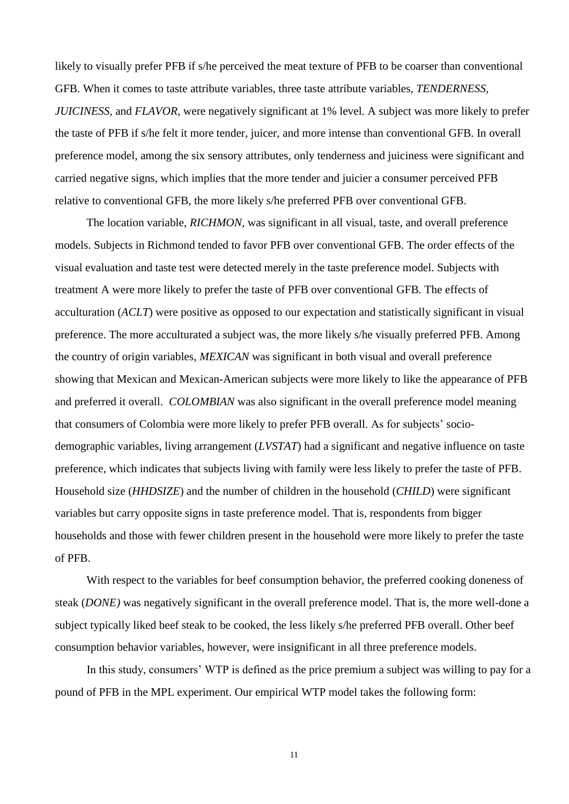likely to visually prefer PFB if s/he perceived the meat texture of PFB to be coarser than conventional GFB. When it comes to taste attribute variables, three taste attribute variables, *TENDERNESS, JUICINESS,* and *FLAVOR,* were negatively significant at 1% level. A subject was more likely to prefer the taste of PFB if s/he felt it more tender, juicer, and more intense than conventional GFB. In overall preference model, among the six sensory attributes, only tenderness and juiciness were significant and carried negative signs, which implies that the more tender and juicier a consumer perceived PFB relative to conventional GFB, the more likely s/he preferred PFB over conventional GFB.

 The location variable, *RICHMON,* was significant in all visual, taste, and overall preference models. Subjects in Richmond tended to favor PFB over conventional GFB. The order effects of the visual evaluation and taste test were detected merely in the taste preference model. Subjects with treatment A were more likely to prefer the taste of PFB over conventional GFB. The effects of acculturation (*ACLT*) were positive as opposed to our expectation and statistically significant in visual preference. The more acculturated a subject was, the more likely s/he visually preferred PFB. Among the country of origin variables, *MEXICAN* was significant in both visual and overall preference showing that Mexican and Mexican-American subjects were more likely to like the appearance of PFB and preferred it overall. *COLOMBIAN* was also significant in the overall preference model meaning that consumers of Colombia were more likely to prefer PFB overall. As for subjects' sociodemographic variables, living arrangement (*LVSTAT*) had a significant and negative influence on taste preference, which indicates that subjects living with family were less likely to prefer the taste of PFB. Household size (*HHDSIZE*) and the number of children in the household (*CHILD*) were significant variables but carry opposite signs in taste preference model. That is, respondents from bigger households and those with fewer children present in the household were more likely to prefer the taste of PFB.

With respect to the variables for beef consumption behavior, the preferred cooking doneness of steak (*DONE)* was negatively significant in the overall preference model. That is, the more well-done a subject typically liked beef steak to be cooked, the less likely s/he preferred PFB overall. Other beef consumption behavior variables, however, were insignificant in all three preference models.

 In this study, consumers' WTP is defined as the price premium a subject was willing to pay for a pound of PFB in the MPL experiment. Our empirical WTP model takes the following form: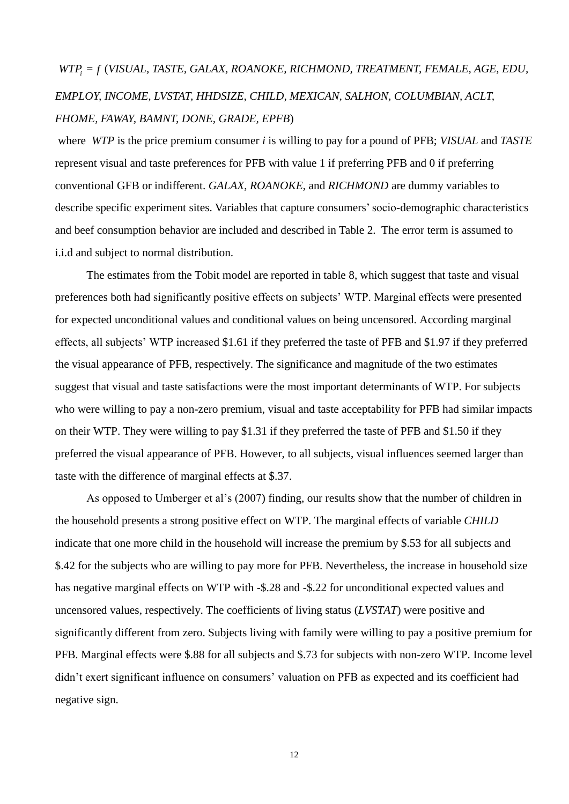# (*VISUAL, TASTE, GALAX, ROANOKE, RICHMOND, TREATMENT, FEMALE, AGE, EDU, EMPLOY, INCOME, LVSTAT, HHDSIZE, CHILD, MEXICAN, SALHON, COLUMBIAN, ACLT, FHOME, FAWAY, BAMNT, DONE, GRADE, EPFB*)

where *WTP* is the price premium consumer *i* is willing to pay for a pound of PFB; *VISUAL* and *TASTE* represent visual and taste preferences for PFB with value 1 if preferring PFB and 0 if preferring conventional GFB or indifferent. *GALAX*, *ROANOKE*, and *RICHMOND* are dummy variables to describe specific experiment sites. Variables that capture consumers' socio-demographic characteristics and beef consumption behavior are included and described in Table 2. The error term is assumed to i.i.d and subject to normal distribution.

*WTP*; = *f* (*VISUAL, TASTE, GALAX, ROANOKE, R.<br>
EMPLOY, INCOME, LVSTAT, HHDSIZE, CHILD, M<br>
FHOME, FAWAY, BAMNT, DONE, GRADE, EPFB)<br>
where WTP is the price premium consumer <i>i* is will.<br>
epresent visual and taste preferen The estimates from the Tobit model are reported in table 8, which suggest that taste and visual preferences both had significantly positive effects on subjects' WTP. Marginal effects were presented for expected unconditional values and conditional values on being uncensored. According marginal effects, all subjects' WTP increased \$1.61 if they preferred the taste of PFB and \$1.97 if they preferred the visual appearance of PFB, respectively. The significance and magnitude of the two estimates suggest that visual and taste satisfactions were the most important determinants of WTP. For subjects who were willing to pay a non-zero premium, visual and taste acceptability for PFB had similar impacts on their WTP. They were willing to pay \$1.31 if they preferred the taste of PFB and \$1.50 if they preferred the visual appearance of PFB. However, to all subjects, visual influences seemed larger than taste with the difference of marginal effects at \$.37.

 As opposed to Umberger et al's (2007) finding, our results show that the number of children in the household presents a strong positive effect on WTP. The marginal effects of variable *CHILD* indicate that one more child in the household will increase the premium by \$.53 for all subjects and \$.42 for the subjects who are willing to pay more for PFB. Nevertheless, the increase in household size has negative marginal effects on WTP with -\$.28 and -\$.22 for unconditional expected values and uncensored values, respectively. The coefficients of living status (*LVSTAT*) were positive and significantly different from zero. Subjects living with family were willing to pay a positive premium for PFB. Marginal effects were \$.88 for all subjects and \$.73 for subjects with non-zero WTP. Income level didn't exert significant influence on consumers' valuation on PFB as expected and its coefficient had negative sign.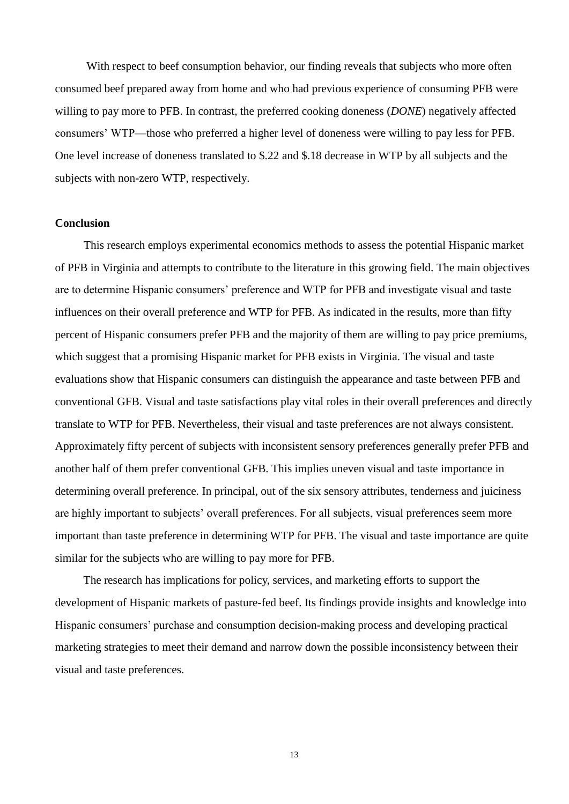With respect to beef consumption behavior, our finding reveals that subjects who more often consumed beef prepared away from home and who had previous experience of consuming PFB were willing to pay more to PFB. In contrast, the preferred cooking doneness (*DONE*) negatively affected consumers' WTP—those who preferred a higher level of doneness were willing to pay less for PFB. One level increase of doneness translated to \$.22 and \$.18 decrease in WTP by all subjects and the subjects with non-zero WTP, respectively.

#### **Conclusion**

This research employs experimental economics methods to assess the potential Hispanic market of PFB in Virginia and attempts to contribute to the literature in this growing field. The main objectives are to determine Hispanic consumers' preference and WTP for PFB and investigate visual and taste influences on their overall preference and WTP for PFB. As indicated in the results, more than fifty percent of Hispanic consumers prefer PFB and the majority of them are willing to pay price premiums, which suggest that a promising Hispanic market for PFB exists in Virginia. The visual and taste evaluations show that Hispanic consumers can distinguish the appearance and taste between PFB and conventional GFB. Visual and taste satisfactions play vital roles in their overall preferences and directly translate to WTP for PFB. Nevertheless, their visual and taste preferences are not always consistent. Approximately fifty percent of subjects with inconsistent sensory preferences generally prefer PFB and another half of them prefer conventional GFB. This implies uneven visual and taste importance in determining overall preference. In principal, out of the six sensory attributes, tenderness and juiciness are highly important to subjects' overall preferences. For all subjects, visual preferences seem more important than taste preference in determining WTP for PFB. The visual and taste importance are quite similar for the subjects who are willing to pay more for PFB.

 The research has implications for policy, services, and marketing efforts to support the development of Hispanic markets of pasture-fed beef. Its findings provide insights and knowledge into Hispanic consumers' purchase and consumption decision-making process and developing practical marketing strategies to meet their demand and narrow down the possible inconsistency between their visual and taste preferences.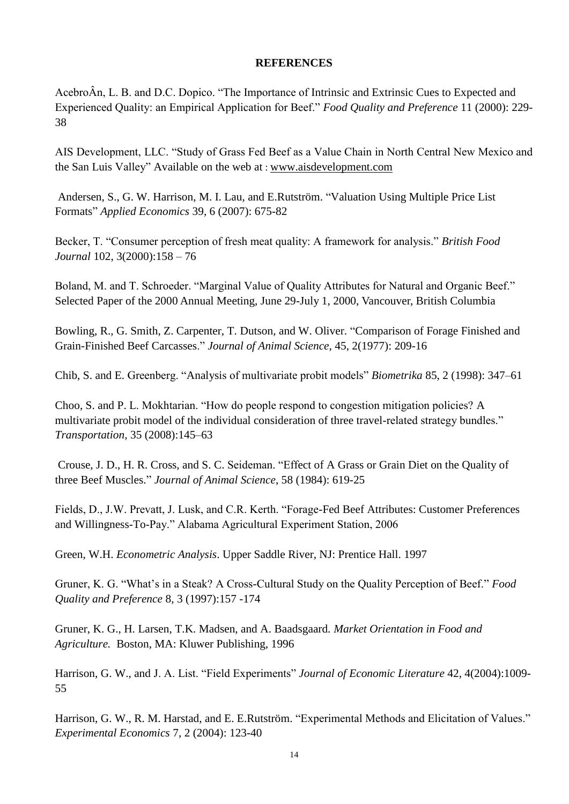#### **REFERENCES**

AcebroÂn, L. B. and D.C. Dopico. "The Importance of Intrinsic and Extrinsic Cues to Expected and Experienced Quality: an Empirical Application for Beef." *Food Quality and Preference* 11 (2000): 229-38

AIS Development, LLC. "Study of Grass Fed Beef as a Value Chain in North Central New Mexico and the San Luis Valley" Available on the web at : [www.aisdevelopment.com](http://www.aisdevelopment.com/)

Andersen, S., G. W. Harrison, M. I. Lau, and E.Rutström. "Valuation Using Multiple Price List Formats‖ *[Applied Economics](http://www.informaworld.com/smpp/title~content=t713684000~db=all)* [39,](http://www.informaworld.com/smpp/title~content=t713684000~db=all~tab=issueslist~branches=39#v39) [6 \(](http://www.informaworld.com/smpp/title~content=g777660085~db=all)2007): 675-82

Becker, T. "Consumer perception of fresh meat quality: A framework for analysis." *British Food Journal* 102, 3(2000):158 – 76

Boland, M. and T. Schroeder. "Marginal Value of Quality Attributes for Natural and Organic Beef." Selected Paper of the 2000 Annual Meeting, June 29-July 1, 2000, Vancouver, British Columbia

Bowling, R., G. Smith, Z. Carpenter, T. Dutson, and W. Oliver. "Comparison of Forage Finished and Grain-Finished Beef Carcasses.‖ *Journal of Animal Science*, 45, 2(1977): 209-16

Chib, S. and E. Greenberg. "Analysis of multivariate probit models" *Biometrika* 85, 2 (1998): 347–61

Choo, S. and P. L. Mokhtarian. "How do people respond to congestion mitigation policies? A multivariate probit model of the individual consideration of three travel-related strategy bundles." *Transportation,* 35 (2008):145–63

Crouse, J. D., H. R. Cross, and S. C. Seideman. "Effect of A Grass or Grain Diet on the Quality of three Beef Muscles." *Journal of Animal Science*, 58 (1984): 619-25

Fields, D., J.W. Prevatt, J. Lusk, and C.R. Kerth. "Forage-Fed Beef Attributes: Customer Preferences and Willingness-To-Pay." Alabama Agricultural Experiment Station, 2006

Green, W.H. *Econometric Analysis*. Upper Saddle River, NJ: Prentice Hall. 1997

Gruner, K. G. "What's in a Steak? A Cross-Cultural Study on the Quality Perception of Beef." *Food Quality and Preference* 8, 3 (1997):157 -174

Gruner, K. G., H. Larsen, T.K. Madsen, and A. Baadsgaard. *Market Orientation in Food and Agriculture.* Boston, MA: Kluwer Publishing, 1996

Harrison, G. W., and J. A. List. "Field Experiments" *Journal of Economic Literature* 42, 4(2004):1009-55

Harrison, G. W., R. M. Harstad, and E. E.Rutström. "Experimental Methods and Elicitation of Values." *Experimental Economics* 7, 2 (2004): 123-40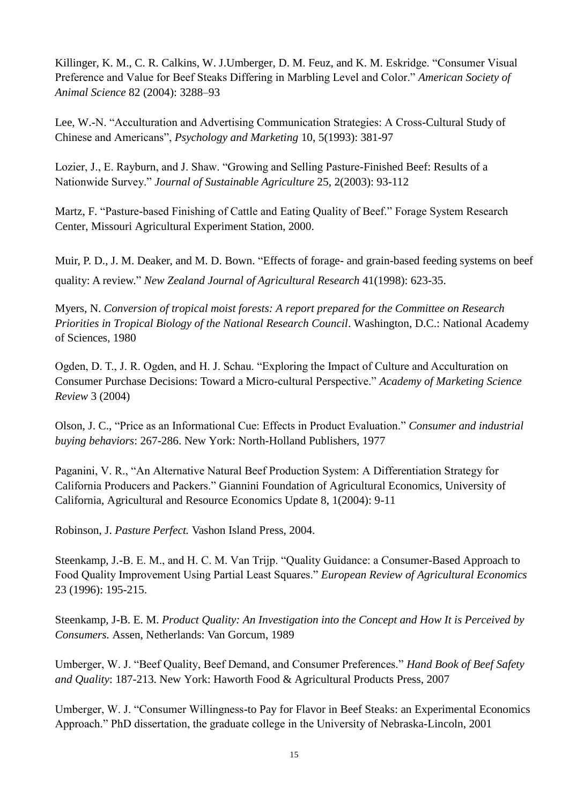Killinger, K. M., C. R. Calkins, W. J. Umberger, D. M. Feuz, and K. M. Eskridge. "Consumer Visual Preference and Value for Beef Steaks Differing in Marbling Level and Color." *American Society of Animal Science* 82 (2004): 3288–93

Lee, W.-N. "Acculturation and Advertising Communication Strategies: A Cross-Cultural Study of Chinese and Americans‖, *Psychology and Marketing* 10, 5(1993): 381-97

Lozier, J., E. Rayburn, and J. Shaw. "Growing and Selling Pasture-Finished Beef: Results of a Nationwide Survey.‖ *Journal of Sustainable Agriculture* 25, 2(2003): 93-112

Martz, F. "Pasture-based Finishing of Cattle and Eating Quality of Beef." Forage System Research Center, Missouri Agricultural Experiment Station, 2000.

Muir, P. D., J. M. Deaker, and M. D. Bown. "Effects of forage- and grain-based feeding systems on beef quality: A review.‖ *New Zealand Journal of Agricultural Research* 41(1998): 623-35.

Myers, N. *Conversion of tropical moist forests: A report prepared for the Committee on Research Priorities in Tropical Biology of the National Research Council*. Washington, D.C.: National Academy of Sciences, 1980

Ogden, D. T., J. R. Ogden, and H. J. Schau. "Exploring the Impact of Culture and Acculturation on Consumer Purchase Decisions: Toward a Micro-cultural Perspective." *Academy of Marketing Science Review* 3 (2004)

Olson, J. C., "Price as an Informational Cue: Effects in Product Evaluation." *Consumer and industrial buying behaviors*: 267-286. New York: North-Holland Publishers, 1977

Paganini, V. R., "An Alternative Natural Beef Production System: A Differentiation Strategy for California Producers and Packers.‖ Giannini Foundation of Agricultural Economics, University of California, Agricultural and Resource Economics Update 8, 1(2004): 9-11

Robinson, J. *Pasture Perfect.* Vashon Island Press, 2004.

Steenkamp, J.-B. E. M., and H. C. M. Van Trijp. "Quality Guidance: a Consumer-Based Approach to Food Quality Improvement Using Partial Least Squares." *European Review of Agricultural Economics* 23 (1996): 195-215.

Steenkamp, J-B. E. M. *Product Quality: An Investigation into the Concept and How It is Perceived by Consumers.* Assen, Netherlands: Van Gorcum, 1989

Umberger, W. J. "Beef Quality, Beef Demand, and Consumer Preferences." *Hand Book of Beef Safety and Quality*: 187-213. New York: Haworth Food & Agricultural Products Press, 2007

Umberger, W. J. "Consumer Willingness-to Pay for Flavor in Beef Steaks: an Experimental Economics Approach." PhD dissertation, the graduate college in the University of Nebraska-Lincoln, 2001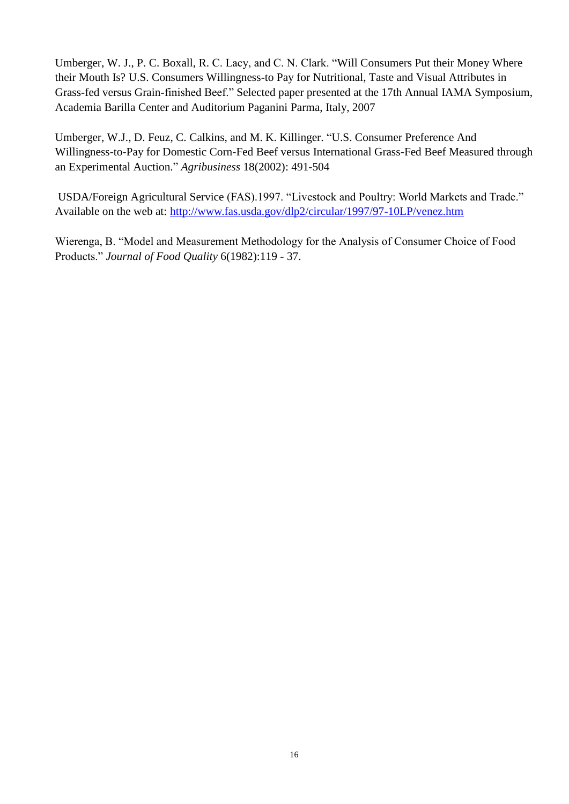Umberger, W. J., P. C. Boxall, R. C. Lacy, and C. N. Clark. "Will Consumers Put their Money Where their Mouth Is? U.S. Consumers Willingness-to Pay for Nutritional, Taste and Visual Attributes in Grass-fed versus Grain-finished Beef." Selected paper presented at the 17th Annual IAMA Symposium, Academia Barilla Center and Auditorium Paganini Parma, Italy, 2007

Umberger, W.J., D. Feuz, C. Calkins, and M. K. Killinger. "U.S. Consumer Preference And Willingness-to-Pay for Domestic Corn-Fed Beef versus International Grass-Fed Beef Measured through an Experimental Auction.‖ *Agribusiness* 18(2002): 491-504

USDA/Foreign Agricultural Service (FAS).1997. "Livestock and Poultry: World Markets and Trade." Available on the web at:<http://www.fas.usda.gov/dlp2/circular/1997/97-10LP/venez.htm>

Wierenga, B. "Model and Measurement Methodology for the Analysis of Consumer Choice of Food Products.‖ *Journal of Food Quality* 6(1982):119 - 37.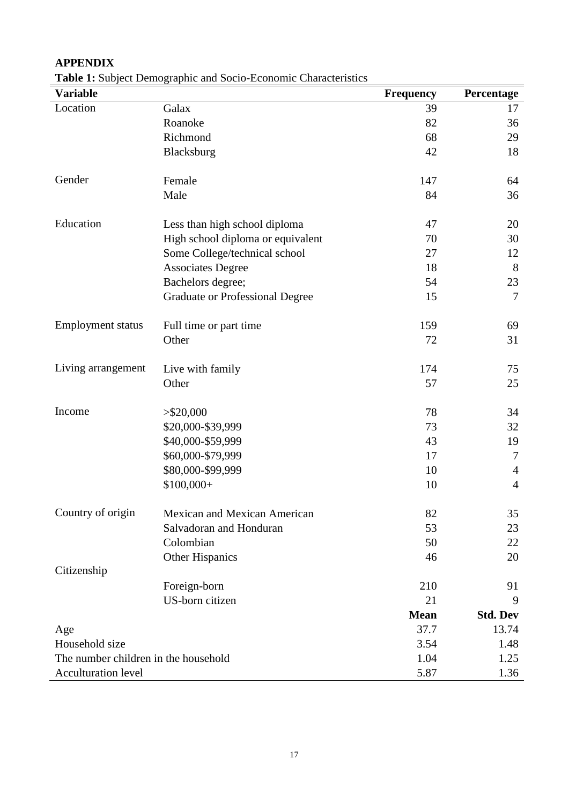# **Variable Frequency Percentage** Location Galax 59 17 Roanoke 36 Richmond 68 29 Blacksburg 42 18 Gender Female 147 64 Male  $84$   $36$ Education Less than high school diploma 47 20 High school diploma or equivalent 70 30 Some College/technical school 27 12 Associates Degree 18 8 Bachelors degree; 54 23 Graduate or Professional Degree 15 7 Employment status Full time or part time 159 69 Other 72 31 Living arrangement Live with family 174 174 75 Other 57 25  $\text{Income} \quad >\frac{620,000}{ }$  78 34 \$20,000-\$39,999 73 73 32 \$40,000-\$59,999 43 19 \$60,000-\$79,999 17 7 \$80,000-\$99,999 10 4  $$100,000+$  4 Country of origin Mexican and Mexican American 82 35 Salvadoran and Honduran 53 53 23 Colombian 50 22 Other Hispanics 46 20 Citizenship Foreign-born 210 91 US-born citizen 21 9 **Mean Std. Dev** Age 37.7 13.74 Household size 3.54 1.48 The number children in the household 1.04 1.25 Acculturation level 5.87 1.36

## **APPENDIX**

**Table 1:** Subject Demographic and Socio-Economic Characteristics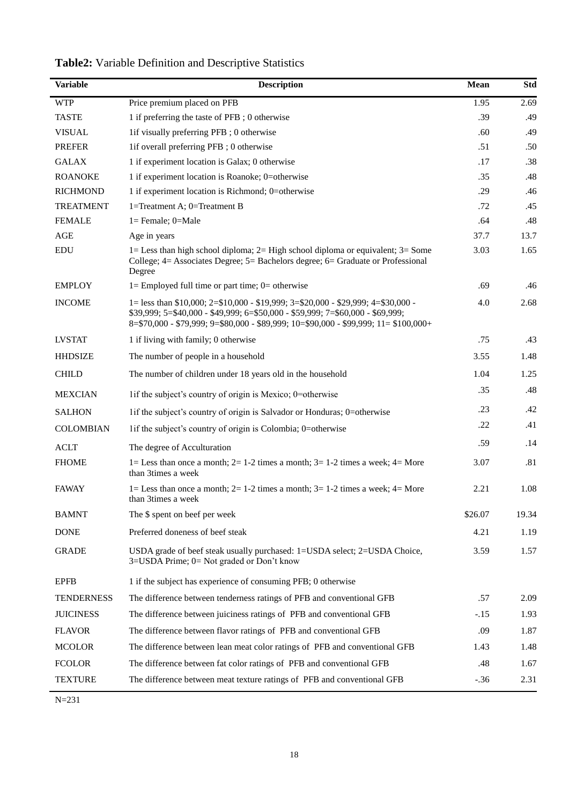| <b>Variable</b>   | <b>Description</b>                                                                                                                                                                                                                                          | <b>Mean</b> | <b>Std</b> |
|-------------------|-------------------------------------------------------------------------------------------------------------------------------------------------------------------------------------------------------------------------------------------------------------|-------------|------------|
| <b>WTP</b>        | Price premium placed on PFB                                                                                                                                                                                                                                 | 1.95        | 2.69       |
| <b>TASTE</b>      | 1 if preferring the taste of PFB; 0 otherwise                                                                                                                                                                                                               | .39         | .49        |
| <b>VISUAL</b>     | 1if visually preferring PFB; 0 otherwise                                                                                                                                                                                                                    | .60         | .49        |
| <b>PREFER</b>     | 1if overall preferring PFB; 0 otherwise                                                                                                                                                                                                                     | .51         | .50        |
| <b>GALAX</b>      | 1 if experiment location is Galax; 0 otherwise                                                                                                                                                                                                              | .17         | .38        |
| <b>ROANOKE</b>    | 1 if experiment location is Roanoke; 0=otherwise                                                                                                                                                                                                            | .35         | .48        |
| <b>RICHMOND</b>   | 1 if experiment location is Richmond; 0=otherwise                                                                                                                                                                                                           | .29         | .46        |
| <b>TREATMENT</b>  | 1=Treatment A; $0$ =Treatment B                                                                                                                                                                                                                             | .72         | .45        |
| <b>FEMALE</b>     | $1 =$ Female; $0 =$ Male                                                                                                                                                                                                                                    | .64         | .48        |
| AGE               | Age in years                                                                                                                                                                                                                                                | 37.7        | 13.7       |
| <b>EDU</b>        | $1 =$ Less than high school diploma; $2 =$ High school diploma or equivalent; $3 =$ Some<br>College; 4= Associates Degree; 5= Bachelors degree; 6= Graduate or Professional<br>Degree                                                                       | 3.03        | 1.65       |
| <b>EMPLOY</b>     | $l =$ Employed full time or part time; $0 =$ otherwise                                                                                                                                                                                                      | .69         | .46        |
| <b>INCOME</b>     | 1= less than \$10,000; 2=\$10,000 - \$19,999; 3=\$20,000 - \$29,999; 4=\$30,000 -<br>\$39,999; 5=\$40,000 - \$49,999; 6=\$50,000 - \$59,999; 7=\$60,000 - \$69,999;<br>8=\$70,000 - \$79,999; 9=\$80,000 - \$89,999; 10=\$90,000 - \$99,999; 11= \$100,000+ | 4.0         | 2.68       |
| <b>LVSTAT</b>     | 1 if living with family; 0 otherwise                                                                                                                                                                                                                        | .75         | .43        |
| <b>HHDSIZE</b>    | The number of people in a household                                                                                                                                                                                                                         | 3.55        | 1.48       |
| <b>CHILD</b>      | The number of children under 18 years old in the household                                                                                                                                                                                                  | 1.04        | 1.25       |
| <b>MEXCIAN</b>    | 1 if the subject's country of origin is Mexico; 0=otherwise                                                                                                                                                                                                 | .35         | .48        |
| <b>SALHON</b>     | 1 if the subject's country of origin is Salvador or Honduras; 0=otherwise                                                                                                                                                                                   | .23         | .42        |
| <b>COLOMBIAN</b>  | 1 if the subject's country of origin is Colombia; 0=otherwise                                                                                                                                                                                               | .22         | .41        |
| <b>ACLT</b>       | The degree of Acculturation                                                                                                                                                                                                                                 | .59         | .14        |
| <b>FHOME</b>      | 1= Less than once a month; $2=1-2$ times a month; $3=1-2$ times a week; $4=$ More<br>than 3times a week                                                                                                                                                     | 3.07        | .81        |
| <b>FAWAY</b>      | 1= Less than once a month; $2=1-2$ times a month; $3=1-2$ times a week; $4=$ More<br>than 3times a week                                                                                                                                                     | 2.21        | 1.08       |
| <b>BAMNT</b>      | The \$ spent on beef per week                                                                                                                                                                                                                               | \$26.07     | 19.34      |
| <b>DONE</b>       | Preferred doneness of beef steak                                                                                                                                                                                                                            | 4.21        | 1.19       |
| <b>GRADE</b>      | USDA grade of beef steak usually purchased: 1=USDA select; 2=USDA Choice,<br>3=USDA Prime; 0= Not graded or Don't know                                                                                                                                      | 3.59        | 1.57       |
| <b>EPFB</b>       | 1 if the subject has experience of consuming PFB; 0 otherwise                                                                                                                                                                                               |             |            |
| <b>TENDERNESS</b> | The difference between tenderness ratings of PFB and conventional GFB                                                                                                                                                                                       | .57         | 2.09       |
| <b>JUICINESS</b>  | The difference between juiciness ratings of PFB and conventional GFB                                                                                                                                                                                        | $-.15$      | 1.93       |
| <b>FLAVOR</b>     | The difference between flavor ratings of PFB and conventional GFB                                                                                                                                                                                           | .09         | 1.87       |
| <b>MCOLOR</b>     | The difference between lean meat color ratings of PFB and conventional GFB                                                                                                                                                                                  | 1.43        | 1.48       |
| <b>FCOLOR</b>     | The difference between fat color ratings of PFB and conventional GFB                                                                                                                                                                                        | .48         | 1.67       |
| <b>TEXTURE</b>    | The difference between meat texture ratings of PFB and conventional GFB                                                                                                                                                                                     | $-.36$      | 2.31       |

# **Table2:** Variable Definition and Descriptive Statistics

 $N=231$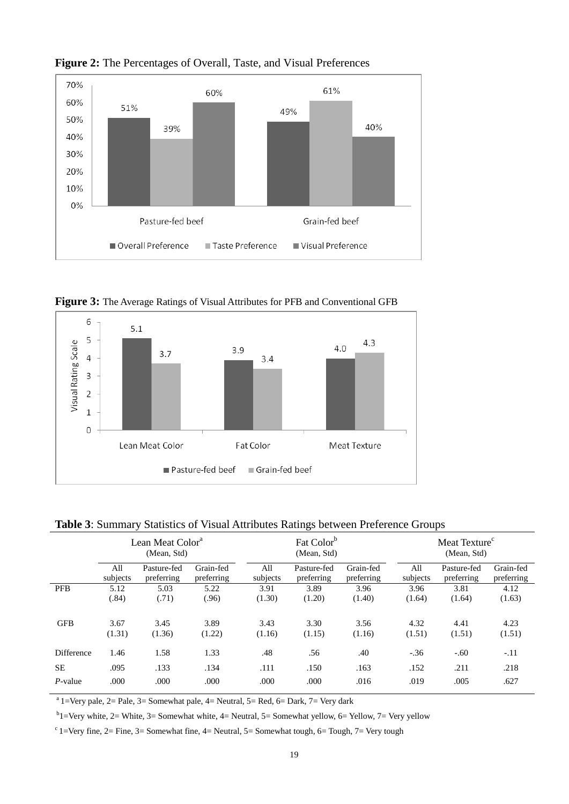

**Figure 2:** The Percentages of Overall, Taste, and Visual Preferences

**Figure 3:** The Average Ratings of Visual Attributes for PFB and Conventional GFB



**Table 3**: Summary Statistics of Visual Attributes Ratings between Preference Groups

|                   | Lean Meat Color <sup>a</sup><br>(Mean, Std) |             |            | Fat Color <sup>b</sup><br>(Mean, Std) |             |            |          | Meat Texture <sup>c</sup><br>(Mean, Std) |            |  |
|-------------------|---------------------------------------------|-------------|------------|---------------------------------------|-------------|------------|----------|------------------------------------------|------------|--|
|                   | All                                         | Pasture-fed | Grain-fed  | All                                   | Pasture-fed | Grain-fed  | All      | Pasture-fed                              | Grain-fed  |  |
|                   | subjects                                    | preferring  | preferring | subjects                              | preferring  | preferring | subjects | preferring                               | preferring |  |
| <b>PFB</b>        | 5.12                                        | 5.03        | 5.22       | 3.91                                  | 3.89        | 3.96       | 3.96     | 3.81                                     | 4.12       |  |
|                   | (.84)                                       | (.71)       | (.96)      | (1.30)                                | (1.20)      | (1.40)     | (1.64)   | (1.64)                                   | (1.63)     |  |
| <b>GFB</b>        | 3.67                                        | 3.45        | 3.89       | 3.43                                  | 3.30        | 3.56       | 4.32     | 4.41                                     | 4.23       |  |
|                   | (1.31)                                      | (1.36)      | (1.22)     | (1.16)                                | (1.15)      | (1.16)     | (1.51)   | (1.51)                                   | (1.51)     |  |
| <b>Difference</b> | 1.46                                        | 1.58        | 1.33       | .48                                   | .56         | .40        | $-.36$   | $-.60$                                   | $-.11$     |  |
| <b>SE</b>         | .095                                        | .133        | .134       | .111                                  | .150        | .163       | .152     | .211                                     | .218       |  |
| $P$ -value        | .000                                        | .000        | .000       | .000                                  | .000        | .016       | .019     | .005                                     | .627       |  |

<sup>a</sup> 1=Very pale, 2= Pale, 3= Somewhat pale, 4= Neutral, 5= Red, 6= Dark, 7= Very dark

<sup>b</sup>1=Very white, 2= White, 3= Somewhat white, 4= Neutral, 5= Somewhat yellow, 6= Yellow, 7= Very yellow

 $c$ 1=Very fine, 2= Fine, 3= Somewhat fine, 4= Neutral, 5= Somewhat tough, 6= Tough, 7= Very tough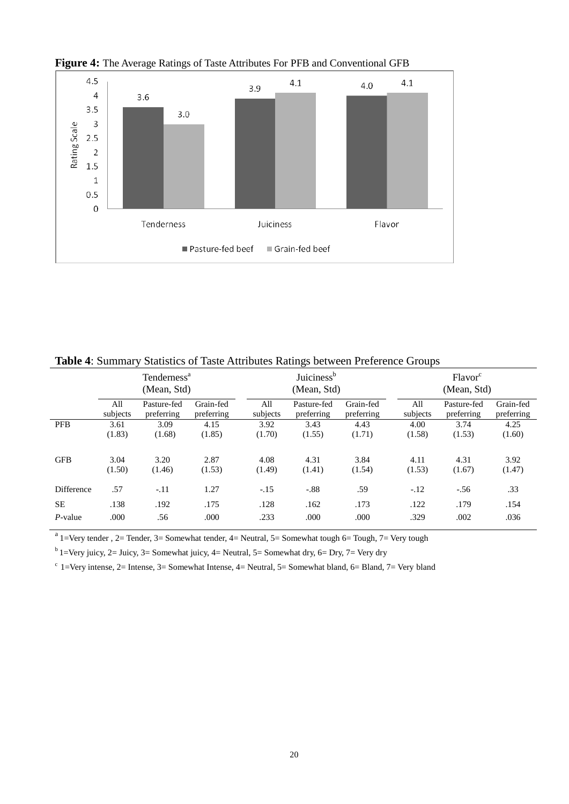

**Figure 4:** The Average Ratings of Taste Attributes For PFB and Conventional GFB

|            | Tenderness <sup>a</sup><br>(Mean, Std) |                           |                         |                 | Juiciness <sup>b</sup><br>(Mean, Std) |                         |                 | Flavor <sup>c</sup><br>(Mean, Std) |                         |  |
|------------|----------------------------------------|---------------------------|-------------------------|-----------------|---------------------------------------|-------------------------|-----------------|------------------------------------|-------------------------|--|
|            | All<br>subjects                        | Pasture-fed<br>preferring | Grain-fed<br>preferring | All<br>subjects | Pasture-fed<br>preferring             | Grain-fed<br>preferring | All<br>subjects | Pasture-fed<br>preferring          | Grain-fed<br>preferring |  |
| <b>PFB</b> | 3.61<br>(1.83)                         | 3.09<br>(1.68)            | 4.15<br>(1.85)          | 3.92<br>(1.70)  | 3.43<br>(1.55)                        | 4.43<br>(1.71)          | 4.00<br>(1.58)  | 3.74<br>(1.53)                     | 4.25<br>(1.60)          |  |
| <b>GFB</b> | 3.04<br>(1.50)                         | 3.20<br>(1.46)            | 2.87<br>(1.53)          | 4.08<br>(1.49)  | 4.31<br>(1.41)                        | 3.84<br>(1.54)          | 4.11<br>(1.53)  | 4.31<br>(1.67)                     | 3.92<br>(1.47)          |  |
| Difference | .57                                    | $-.11$                    | 1.27                    | $-.15$          | $-.88$                                | .59                     | $-.12$          | $-.56$                             | .33                     |  |
| <b>SE</b>  | .138                                   | .192                      | .175                    | .128            | .162                                  | .173                    | .122            | .179                               | .154                    |  |
| $P$ -value | .000                                   | .56                       | .000                    | .233            | .000                                  | .000                    | .329            | .002                               | .036                    |  |

**Table 4**: Summary Statistics of Taste Attributes Ratings between Preference Groups

 $a<sup>a</sup>1=$ Very tender , 2= Tender, 3= Somewhat tender, 4= Neutral, 5= Somewhat tough 6= Tough, 7= Very tough

<sup>b</sup> 1=Very juicy, 2= Juicy, 3= Somewhat juicy, 4= Neutral, 5= Somewhat dry, 6= Dry, 7= Very dry

 $c_1$ =Very intense, 2= Intense, 3= Somewhat Intense, 4= Neutral, 5= Somewhat bland, 6= Bland, 7= Very bland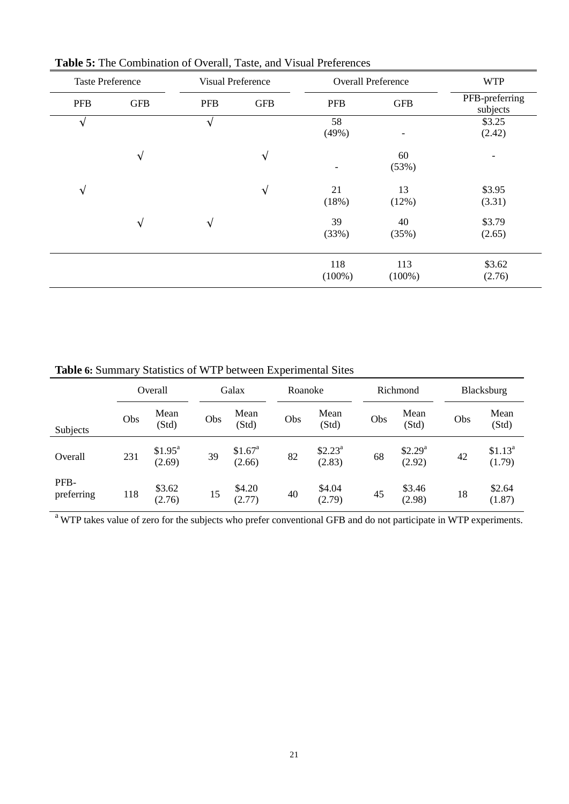| <b>Taste Preference</b> |            |            | <b>Visual Preference</b> |                  | <b>Overall Preference</b> | <b>WTP</b>                 |
|-------------------------|------------|------------|--------------------------|------------------|---------------------------|----------------------------|
| <b>PFB</b>              | <b>GFB</b> | <b>PFB</b> | <b>GFB</b>               | <b>PFB</b>       | <b>GFB</b>                | PFB-preferring<br>subjects |
| $\mathbf v$             |            | $\sqrt{}$  |                          | 58<br>(49%)      |                           | \$3.25<br>(2.42)           |
|                         | $\sqrt{ }$ |            | $\sqrt{}$                | -                | 60<br>(53%)               |                            |
| $\sqrt{}$               |            |            | $\sqrt{ }$               | 21<br>(18%)      | 13<br>(12%)               | \$3.95<br>(3.31)           |
|                         | $\sqrt{ }$ | $\sqrt{}$  |                          | 39<br>(33%)      | 40<br>(35%)               | \$3.79<br>(2.65)           |
|                         |            |            |                          | 118<br>$(100\%)$ | 113<br>$(100\%)$          | \$3.62<br>(2.76)           |

**Table 5:** The Combination of Overall, Taste, and Visual Preferences

**Table 6:** Summary Statistics of WTP between Experimental Sites

|                    |     | Overall                       |     | Galax                         | Roanoke |                               |     | Richmond                      |     | Blacksburg                    |
|--------------------|-----|-------------------------------|-----|-------------------------------|---------|-------------------------------|-----|-------------------------------|-----|-------------------------------|
| Subjects           | Obs | Mean<br>(Std)                 | Obs | Mean<br>(Std)                 | Obs     | Mean<br>(Std)                 | Obs | Mean<br>(Std)                 | Obs | Mean<br>(Std)                 |
| Overall            | 231 | \$1.95 <sup>a</sup><br>(2.69) | 39  | \$1.67 <sup>a</sup><br>(2.66) | 82      | \$2.23 <sup>a</sup><br>(2.83) | 68  | \$2.29 <sup>a</sup><br>(2.92) | 42  | \$1.13 <sup>a</sup><br>(1.79) |
| PFB-<br>preferring | 118 | \$3.62<br>(2.76)              | 15  | \$4.20<br>(2.77)              | 40      | \$4.04<br>(2.79)              | 45  | \$3.46<br>(2.98)              | 18  | \$2.64<br>(1.87)              |

<sup>a</sup> WTP takes value of zero for the subjects who prefer conventional GFB and do not participate in WTP experiments.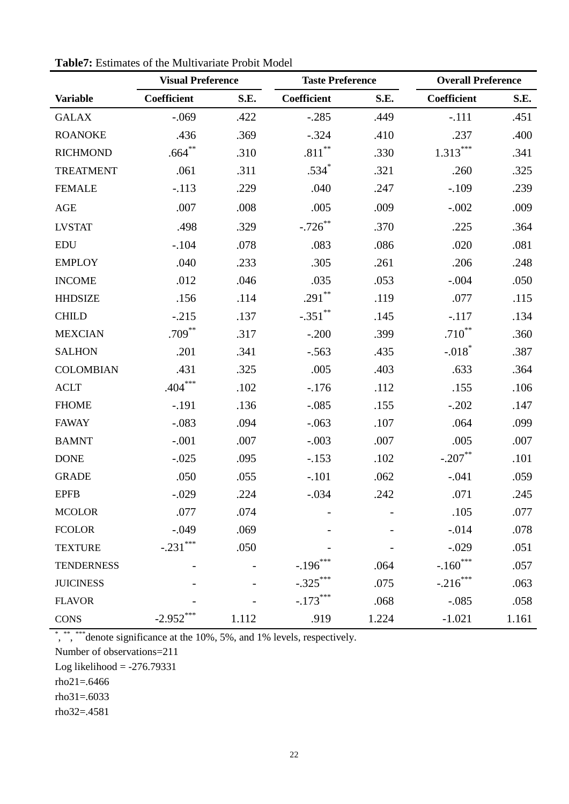|                   |                    | <b>Visual Preference</b><br><b>Taste Preference</b> |                   |       | <b>Overall Preference</b> |       |  |  |
|-------------------|--------------------|-----------------------------------------------------|-------------------|-------|---------------------------|-------|--|--|
| <b>Variable</b>   | <b>Coefficient</b> | S.E.                                                | Coefficient       | S.E.  | Coefficient               | S.E.  |  |  |
| <b>GALAX</b>      | $-.069$            | .422                                                | $-.285$           | .449  | $-.111$                   | .451  |  |  |
| <b>ROANOKE</b>    | .436               | .369                                                | $-.324$           | .410  | .237                      | .400  |  |  |
| <b>RICHMOND</b>   | $.664***$          | .310                                                | $.811^{\ast\ast}$ | .330  | $1.313***$                | .341  |  |  |
| <b>TREATMENT</b>  | .061               | .311                                                | $.534*$           | .321  | .260                      | .325  |  |  |
| <b>FEMALE</b>     | $-.113$            | .229                                                | .040              | .247  | $-.109$                   | .239  |  |  |
| AGE               | .007               | .008                                                | .005              | .009  | $-.002$                   | .009  |  |  |
| <b>LVSTAT</b>     | .498               | .329                                                | $-.726$ **        | .370  | .225                      | .364  |  |  |
| <b>EDU</b>        | $-.104$            | .078                                                | .083              | .086  | .020                      | .081  |  |  |
| <b>EMPLOY</b>     | .040               | .233                                                | .305              | .261  | .206                      | .248  |  |  |
| <b>INCOME</b>     | .012               | .046                                                | .035              | .053  | $-.004$                   | .050  |  |  |
| <b>HHDSIZE</b>    | .156               | .114                                                | .291**            | .119  | .077                      | .115  |  |  |
| <b>CHILD</b>      | $-.215$            | .137                                                | $-.351$ **        | .145  | $-.117$                   | .134  |  |  |
| <b>MEXCIAN</b>    | $.709***$          | .317                                                | $-.200$           | .399  | $.710***$                 | .360  |  |  |
| <b>SALHON</b>     | .201               | .341                                                | $-.563$           | .435  | $-.018$ <sup>*</sup>      | .387  |  |  |
| <b>COLOMBIAN</b>  | .431               | .325                                                | .005              | .403  | .633                      | .364  |  |  |
| <b>ACLT</b>       | $.404***$          | .102                                                | $-176$            | .112  | .155                      | .106  |  |  |
| <b>FHOME</b>      | $-.191$            | .136                                                | $-.085$           | .155  | $-.202$                   | .147  |  |  |
| <b>FAWAY</b>      | $-.083$            | .094                                                | $-.063$           | .107  | .064                      | .099  |  |  |
| <b>BAMNT</b>      | $-.001$            | .007                                                | $-.003$           | .007  | .005                      | .007  |  |  |
| <b>DONE</b>       | $-.025$            | .095                                                | $-.153$           | .102  | $-.207$ **                | .101  |  |  |
| <b>GRADE</b>      | .050               | .055                                                | $-.101$           | .062  | $-.041$                   | .059  |  |  |
| <b>EPFB</b>       | $-.029$            | .224                                                | $-.034$           | .242  | .071                      | .245  |  |  |
| <b>MCOLOR</b>     | .077               | .074                                                |                   |       | .105                      | .077  |  |  |
| <b>FCOLOR</b>     | $-.049$            | .069                                                |                   |       | $-.014$                   | .078  |  |  |
| <b>TEXTURE</b>    | $-.231***$         | .050                                                |                   |       | $-.029$                   | .051  |  |  |
| <b>TENDERNESS</b> |                    |                                                     | $-.196***$        | .064  | $-.160$ <sup>***</sup>    | .057  |  |  |
| <b>JUICINESS</b>  |                    |                                                     | $-.325***$        | .075  | $-.216***$                | .063  |  |  |
| <b>FLAVOR</b>     |                    |                                                     | $-.173***$        | .068  | $-.085$                   | .058  |  |  |
| <b>CONS</b>       | $-2.952$ ***       | 1.112                                               | .919              | 1.224 | $-1.021$                  | 1.161 |  |  |

**Table7:** Estimates of the Multivariate Probit Model

\*, \*\*, \*\*\* denote significance at the 10%, 5%, and 1% levels, respectively.

Number of observations=211

Log likelihood  $= -276.79331$ 

rho21=.6466

rho31=.6033

rho32=.4581